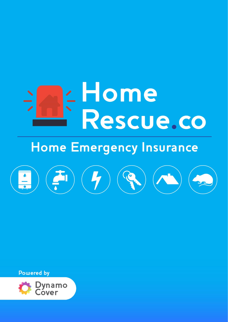# E Home<br>FRescue.co

# **Home Emergency Insurance**



**Powered by** 

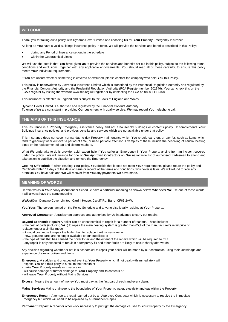### **WELCOME**

Thank you for taking out a policy with Dynamo Cover Limited and choosing **Us** for **Your** Property Emergency Insurance

As long as **You** have a valid Buildings insurance policy in force, **We** will provide the services and benefits described in this Policy:

- during any Period of Insurance set out in the schedule
- within the Geographical Limits

**We** will use the details that **You** have given **Us** to provide the services and benefits set out in this policy, subject to the following terms, conditions and exclusions, together with any applicable endorsements. **You** should read all of these carefully, to ensure this policy meets **Your** individual requirements.

If **You** are unsure whether something is covered or excluded, please contact the company who sold **You** this Policy.

This policy is underwritten by Astrenska Insurance Limited which is authorised by the Prudential Regulation Authority and regulated by the Financial Conduct Authority and the Prudential Regulation Authority (FCA Register number 202846). **You** can check this on the FCA's register by visiting the website www.fca.org.uk/register or by contacting the FCA on 0800 111 6768.

This insurance is effected in England and is subject to the Laws of England and Wales.

Dynamo Cover Limited is authorised and regulated by the Financial Conduct Authority. To ensure **We** are consistent in providing **Our** customers with quality service, **We** may record **Your** telephone call.

### **THE AIMS OF THIS INSURANCE**

This insurance is a Property Emergency Assistance policy and not a household buildings or contents policy. It complements **Your** Buildings insurance policies, and provides benefits and services which are not available under that policy.

This Insurance does not cover normal day-to-day Property maintenance which **You** should carry out or pay for, such as items which tend to gradually wear out over a period of time, or need periodic attention. Examples of these include the descaling of central heating pipes or the replacement of tap and cistern washers.

What **We** undertake to do is provide rapid, expert help if **You** suffer an Emergency in **Your** Property arising from an incident covered under the policy. **We** will arrange for one of **Our** Approved Contractors on **Our** nationwide list of authorised tradesmen to attend and take action to stabilise the situation and remove the Emergency.

**Cooling Off Period:** If, when reading **Your** policy, **You** decide that it does not meet **Your** requirements, please return the policy and Certificate within 14 days of the date of issue or receipt of the terms and conditions, whichever is later. We will refund to **You** any premium **You** have paid and **We** will recover from **You** any payments **We** have made.

### **MEANING OF WORDS**

Certain words in **Your** policy document or Schedule have a particular meaning as shown below. Whenever **We** use one of these words it will always have the same meaning

**We/Us/Our:** Dynamo Cover Limited, Cardiff House, Cardiff Rd, Barry, CF63 2AW.

**You/Your:** The person named on the Policy Schedule and anyone else legally residing at **Your** Property.

**Approved Contractor:** A tradesman approved and authorised by **Us** in advance to carry out repairs

**Beyond Economic Repair;** A boiler can be uneconomical to repair for a number of reasons. These include:

- the cost of parts (including VAT) to repair the main heating system is greater than 85% of the manufacturer's retail price of

- replacement or a similar model
- it would cost more to repair the boiler than to replace it with a new one; or
- new, genuine parts are no longer available to our suppliers; or
- the type of fault that has caused the boiler to fail and the extent of the repairs which will be required to fix it
- any repair is only expected to result in a temporary fix and other faults are likely to occur shortly afterwards

Any decision regarding whether or not it is economical to repair your boiler will be made by our contractor, using their knowledge and experience of similar boilers and faults.

**Emergency:** A sudden and unexpected event at **Your** Property which if not dealt with immediately will

- expose **You** or a third party to a risk to their health or
- make **Your** Property unsafe or insecure or
- will cause damage or further damage to **Your** Property and its contents or
- will leave **Your** Property without Mains Services

**Excess:** Means the amount of money **You** must pay as the first part of each and every claim.

**Mains Services:** Mains drainage to the boundaries of **Your** Property, water, electricity and gas within the Property

**Emergency Repair:** A temporary repair carried out by an Approved Contractor which is necessary to resolve the immediate Emergency but which will need to be replaced by a Permanent Repair

**Permanent Repair:** A repair or other work necessary to put right the damage caused to **Your** Property by the Emergency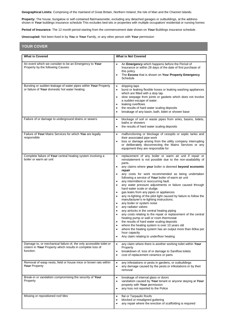**Geographical Limits:** Comprising of the mainland of Great Britain, Northern Ireland, the Isle of Man and the Channel Islands.

**Property:** The house, bungalow or self-contained flat/maisonette, excluding any detached garages or outbuildings, at the address shown in **Your** buildings insurance schedule This excludes bed-sits or properties with multiple occupation/ residential or nursing homes

**Period of Insurance:** The 12 month period starting from the commencement date shown on **Your** Buildings insurance schedule.

**Unoccupied:** Not been lived in by **You** or **Your** Family, or any other person with **Your** permission

### **YOUR COVER**

| <b>What is Covered</b>                                                                                                                        | <b>What is Not Covered</b>                                                                                                                                                                                                                                                                                                                                                                                                                                                                                                                                                                                                                                                                                                                                                                                                                                                                                                                                                                                                                                                                                                                                                                                            |
|-----------------------------------------------------------------------------------------------------------------------------------------------|-----------------------------------------------------------------------------------------------------------------------------------------------------------------------------------------------------------------------------------------------------------------------------------------------------------------------------------------------------------------------------------------------------------------------------------------------------------------------------------------------------------------------------------------------------------------------------------------------------------------------------------------------------------------------------------------------------------------------------------------------------------------------------------------------------------------------------------------------------------------------------------------------------------------------------------------------------------------------------------------------------------------------------------------------------------------------------------------------------------------------------------------------------------------------------------------------------------------------|
| An event which we consider to be an Emergency to Your<br>Property by the following Causes:                                                    | An Emergency which happens before the Period of<br>$\bullet$<br>Insurance or within 28 days of the date of first purchase of<br>this policy<br>The Excess that is shown on Your Property Emergency<br>$\bullet$<br>Schedule                                                                                                                                                                                                                                                                                                                                                                                                                                                                                                                                                                                                                                                                                                                                                                                                                                                                                                                                                                                           |
| Bursting or sudden leakage of water pipes within Your Property<br>or failure of Your domestic hot water heating                               | dripping taps<br>$\bullet$<br>burst or leaking flexible hoses or leaking washing appliances<br>$\bullet$<br>which are fitted with a stop tap.<br>slow seepage from joints or gaskets which does not involve<br>$\bullet$<br>a sudden escape of water.<br>leaking overflows<br>$\bullet$<br>the results of hard water scaling deposits<br>$\bullet$<br>breakage of any basin, bath, bidet or shower base<br>$\bullet$                                                                                                                                                                                                                                                                                                                                                                                                                                                                                                                                                                                                                                                                                                                                                                                                  |
| Failure of or damage to underground drains or sewers                                                                                          | blockage of soil or waste pipes from sinks, basins, bidets,<br>$\bullet$<br>baths or showers<br>the results of hard water scaling deposits<br>$\bullet$                                                                                                                                                                                                                                                                                                                                                                                                                                                                                                                                                                                                                                                                                                                                                                                                                                                                                                                                                                                                                                                               |
| Failure of Your Mains Services for which You are legally<br>responsible                                                                       | malfunctioning or blockage of cesspits or septic tanks and<br>$\bullet$<br>their associated pipe work<br>loss or damage arising from the utility company interrupting<br>$\bullet$<br>or deliberately disconnecting the Mains Services or any<br>equipment they are responsible for                                                                                                                                                                                                                                                                                                                                                                                                                                                                                                                                                                                                                                                                                                                                                                                                                                                                                                                                   |
| Complete failure of Your central heating system involving a<br>boiler or warm air unit                                                        | replacement of any boiler or warm air unit if repair or<br>$\bullet$<br>reinstatement is not possible due to the non-availability of<br>parts.<br>any claims where your boiler is deemed beyond economic<br>$\bullet$<br>repair<br>any costs for work recommended as being undertaken<br>$\bullet$<br>following a service of Your boiler of warm air unit<br>any intermittent or reoccurring fault.<br>any water pressure adjustments or failure caused through<br>$\bullet$<br>hard water scale or sludge.<br>gas leaks from any pipes or appliances<br>$\bullet$<br>any re-lighting of the pilot light caused by failure to follow the<br>$\bullet$<br>manufacturer's re-lighting instructions.<br>any boiler or system noise<br>$\bullet$<br>any radiator valves<br>$\bullet$<br>any airlocks in the central heating piping<br>$\bullet$<br>any costs relating to the repair or replacement of the central<br>$\bullet$<br>heating pump or wall or room thermostat<br>the results of hard water scaling deposits<br>$\bullet$<br>where the heating system is over 10 years old<br>where the heating system has an output more than 60kw per<br>٠<br>hour capacity<br>Any claim relating to underfloor heating<br>٠ |
| Damage to, or mechanical failure of, the only accessible toilet or<br>cistern in Your Property which results in complete loss of<br>function. | any claim where there is another working toilet within Your<br>$\bullet$<br>Property<br>breakdown of, loss of or damage to Saniflow toilets<br>$\bullet$<br>cost of replacement ceramics or parts<br>$\bullet$                                                                                                                                                                                                                                                                                                                                                                                                                                                                                                                                                                                                                                                                                                                                                                                                                                                                                                                                                                                                        |
| Removal of wasp nests, field or house mice or brown rats within<br><b>Your Property</b>                                                       | any infestations or pests in gardens, or outbuildings<br>$\bullet$<br>any damage caused by the pests or infestations or by their<br>٠<br>removal                                                                                                                                                                                                                                                                                                                                                                                                                                                                                                                                                                                                                                                                                                                                                                                                                                                                                                                                                                                                                                                                      |
| Break-in or vandalism compromising the security of Your<br>Property                                                                           | breakage of internal glass or doors<br>$\bullet$<br>vandalism caused by Your tenant or anyone staying at Your<br>$\bullet$<br>property with Your permission<br>any loss not reported to the Police<br>$\bullet$                                                                                                                                                                                                                                                                                                                                                                                                                                                                                                                                                                                                                                                                                                                                                                                                                                                                                                                                                                                                       |
| Missing or repositioned roof tiles                                                                                                            | flat or Tarpaulin Roofs<br>$\bullet$<br>blocked or misaligned guttering<br>٠<br>any repair where the erection of scaffolding is required<br>$\bullet$                                                                                                                                                                                                                                                                                                                                                                                                                                                                                                                                                                                                                                                                                                                                                                                                                                                                                                                                                                                                                                                                 |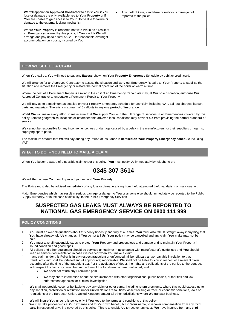| We will appoint an Approved Contractor to assist You if You<br>lose or damage the only available key to Your Property or if<br>You are unable to gain access to Your Home due to failure or<br>damage to the external locking mechanism        | Any theft of keys, vandalism or malicious damage not<br>$\bullet$<br>reported to the police |
|------------------------------------------------------------------------------------------------------------------------------------------------------------------------------------------------------------------------------------------------|---------------------------------------------------------------------------------------------|
| Where Your Property is rendered not fit to live in as a result of<br>an Emergency covered by this policy, if You ask Us We will<br>arrange and pay up to a total of £250 for reasonable overnight<br>accommodation only costs, incurred by You |                                                                                             |

### **HOW WE SETTLE A CLAIM**

When **You** call us, **You** will need to pay any **Excess** shown on **Your Property Emergency** Schedule by debit or credit card.

We will arrange for an Approved Contractor to assess the situation and carry out Emergency Repairs to **Your** Property to stabilise the situation and remove the Emergency or restore the normal operation of the boiler or warm air unit

Where the cost of a Permanent Repair is similar to the cost of an Emergency Repair **We** may, at **Our** sole discretion, authorise **Our** Approved Contractor to undertake a Permanent Repair to **Your** Property

We will pay up to a maximum as detailed on your Property Emergency schedule for any claim including VAT, call-out charges, labour, parts and materials. There is a maximum of 5 callouts in any one **period of insurance**.

Whilst **We** will make every effort to make sure that **We** supply **You** with the full range of services in all Emergencies covered by this policy, remote geographical locations or unforeseeable adverse local conditions may prevent **Us** from providing the normal standard of service.

**We** cannot be responsible for any inconvenience, loss or damage caused by a delay in the manufacturers, or their suppliers or agents, supplying spare parts.

The maximum amount that **We** will pay during any Period of Insurance is **detailed on Your Property Emergency schedule** including VAT

### **WHAT TO DO IF YOU NEED TO MAKE A CLAIM**

When **You** become aware of a possible claim under this policy, **You** must notify **Us** immediately by telephone on:

# **0345 307 3614**

**We** will then advise **You** how to protect yourself and **Your** Property

The Police must also be advised immediately of any loss or damage arising from theft, attempted theft, vandalism or malicious act.

Major Emergencies which may result in serious damage or danger to **You** or anyone else should immediately be reported to the Public Supply Authority, or in the case of difficulty, to the Public Emergency Services

## **SUSPECTED GAS LEAKS MUST ALWAYS BE REPORTED TO NATIONAL GAS EMERGENCY SERVICE ON 0800 111 999**

### **POLICY CONDITIONS**

- 1 **You** must answer all questions about this policy honestly and fully at all times. **You** must also tell **Us** straight away if anything that **You** have already told **Us** changes. If **You** do not tell **Us**, **Your** policy may be cancelled and any claim **You** make may not be paid.
- 2 **You** must take all reasonable steps to protect **Your** Property and prevent loss and damage and to maintain **Your** Property in sound condition and good repair.
- 3 All boilers and other equipment should be serviced annually or in accordance with manufacturer's guidelines and **You** should keep all service documentation in case it is needed when **You** make a claim
- 4 If any claim under this Policy is in any respect fraudulent or unfounded, all benefit paid and/or payable in relation to that fraudulent claim shall be forfeited and (if appropriate) recoverable. **We** shall not be liable to **You** in respect of a relevant claim occurring after the time of the fraudulent act. For the avoidance of doubt, the rights and obligations of the parties to the contract with respect to claims occurring before the time of the fraudulent act are unaffected; and
	- **We** need not return any Premiums paid
	- **We** may share information about the circumstances with other organisations, public bodies, authorities and law enforcement agencies for criminal investigation
- 5 **We** shall not provide cover or be liable to pay any claim or other sums, including return premiums, where this would expose us to any sanction, prohibition or restriction under United Nations resolutions, asset freezing or trade or economic sanctions, laws or regulations of the European Union, United Kingdom, and/or all other jurisdictions where **We** transact business.
- 6 **We** will insure **You** under this policy only if **You** keep to the terms and conditions of this policy
- 7 **We** may take proceedings at **Our** expense and for **Our** own benefit, but in **Your** name, to recover compensation from any third party in respect of anything covered by this policy. This is to enable **Us** to recover any costs **We** have incurred from any third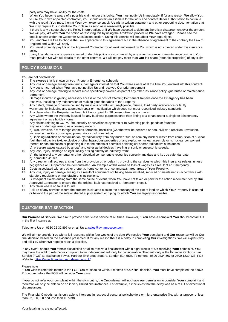party who may have liability for the costs.

- 8 When **You** become aware of a possible claim under this policy, **You** must notify **Us** immediately. If for any reason **We** allow **You** to use **Your** own appointed contractor, **You** should obtain an estimate for the work and contact **Us** for authorisation to continue with the repair. **You** must then at **Your** own expense supply **Us** with a written statement and other supporting documentation that **We** may require to substantiate **Your** claim as soon as is reasonably possible.
- 9 If there is any dispute about the Policy interpretation, or if **We** have accepted a claim but there is a disagreement over the amount **We** will pay, **We** offer **You** the option of resolving this by using the Arbitration procedure **We** have arranged. Please see the details shown under the Customer Satisfaction section. Using this Service will not affect **Your** legal rights.
- 10 **You** and **We** are free to choose the Law applicable to this agreement but in the absence of agreement to the contrary the Law of England and Wales will apply
- 11 **You** must promptly pay **Us** or the Approved Contractor for all work authorised by **You** which is not covered under this insurance policy
- 12 If any loss, damage or expense covered under this policy is also covered by any other insurance or maintenance contract, **You** must provide **Us** with full details of the other contract. **We** will not pay more than **Our** fair share (rateable proportion) of any claim.

### **POLICY EXCLUSIONS**

**You** are not covered for:

- 1 The **excess** that is shown on **your** Property Emergency schedule
- 2 Any loss or damage arising from faults, damage or infestation that **You** were aware of at the time **You** entered into this contract 3 Any costs incurred when **You** have not notified **Us** and received **Our** prior agreement
- 4 Any loss or damage relating to repairs more specifically covered as part of any other insurance policy, guarantee or maintenance agreement
- 5 Damage incurred in gaining necessary access or the cost of effecting Permanent Repairs once the Emergency has been resolved, including any redecoration or making good the fabric of the Property
- 6 Any defect, damage or failure caused by malicious or wilful act, negligence, misuse, third party interference or faulty workmanship, including any attempted repair or modification which does not meet recognised industry standards
- 7 Any claim when the Property has been left Unoccupied for 30 consecutive days or more
- 8 Any Claim where the Property is used for any business purposes other than letting to a tenant under a single or joint tenancy agreement or as a holiday home.
- 9 Any claims relating to CCTV, fire, security or surveillance systems or to swimming pools, ponds or fountains any loss or damage arising as a consequence of:

a) war, invasion, act of foreign enemies, terrorism, hostilities (whether war be declared or not), civil war, rebellion, revolution, insurrection, military or usurped power; riot or civil commotion

b) ionising radiation or contamination by radioactivity from any nuclear fuel or from any nuclear waste from combustion of nuclear fuel, the radioactive toxic explosive or other hazardous properties of any explosive nuclear assembly or its nuclear component thereof or contamination or poisoning due to the effects of chemical or biological and/or radioactive substances. c) pressure waves caused by aircraft and other aerial devices travelling at sonic or supersonic speeds.

- 10 Any loss, injury, damage or legal liability arising directly or indirectly from:
- a) the failure of any computer or other electrical component to recognise correctly any date and its true calendar date b) computer viruses
- 11 Any direct or indirect loss arising from the provision of, or delay in, providing the services to which this insurance relates, unless negligence on Our part can be demonstrated. An example of this would be loss of wages as a result of an Emergency.
- 12 Costs associated with any other property, home contents or communal/shared areas of **Your** Property.
- 13 Any loss, injury or damage arising as a result of equipment not having been installed, serviced or maintained in accordance with statutory regulations or manufacturer's instructions.
- 14 Subsequent claims arising from the same cause or event, when **You** have not taken or paid for the action recommended by **Our** Approved Contractor to ensure that the original fault has received a Permanent Repair.
- 15 Any claim where no fault is found.
- 16 Failure of any services where the problem is situated outside the boundary of the plot of land on which **Your** Property is situated or beyond the part of the sole or shared supply system or piping for which **You** are legally responsible.

### **CUSTOMER SATISFACTION**

**Our Promise of Service**: **We** aim to provide a first class service at all times. However, If **You** have a complaint **You** should contact **Us** in the first instance at:

Telephone **Us** on 0330 22 32 897 or email **Us** a[t sales@dynamocover.com](mailto:sales@dynamocover.com)

**We** will aim to provide **You** with a full response within four weeks of the date **We** receive **Your** complaint and **Our** response will be **Our** final decision based on the evidence presented. If for any reason there is a delay in completing **Our** investigations, **We** will explain why and tell **You** when **We** hope to reach a decision.

In any event, should **You** remain dissatisfied or fail to receive a final answer within eight weeks of **Us** receiving **Your** complaint, **You** may have the right to refer **Your** complaint to an independent authority for consideration. That authority is the Financial Ombudsman Service (FOS) at: Exchange Tower, Harbour Exchange Square, London E14 9SR. Telephone: 0800 0234 567 or 0300 1239 123. FOS Website:<https://www.financial-ombudsman.org.uk/>

### Please note

If **You** wish to refer this matter to the FOS **You** must do so within 6 months of **Our** final decision. **You** must have completed the above Procedure before the FOS will consider **Your** case.

If **you** do not refer **your** complaint within the six months, the Ombudsman will not have **our** permission to consider **Your** complaint and therefore will only be able to do so in very limited circumstances. For example, if it believes that the delay was as a result of exceptional circumstances.

The Financial Ombudsman is only able to intervene in respect of personal policyholders or micro-enterprise (i.e. with a turnover of less than £2,000,000 and less than 10 staff).